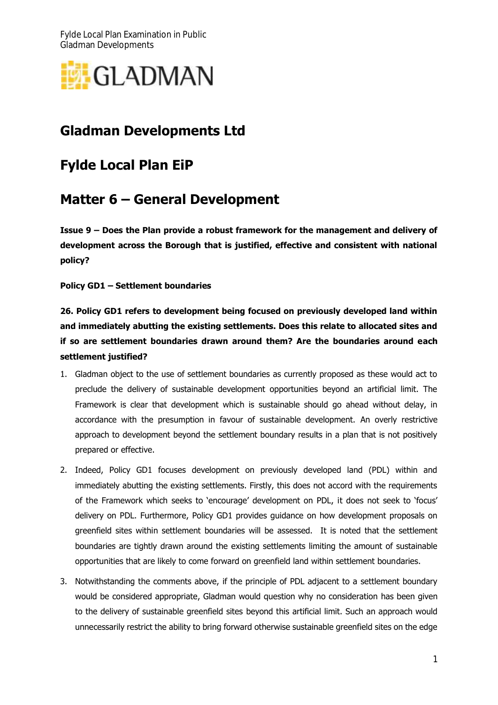Fylde Local Plan Examination in Public Gladman Developments



## **Gladman Developments Ltd**

## **Fylde Local Plan EiP**

## **Matter 6 – General Development**

**Issue 9 – Does the Plan provide a robust framework for the management and delivery of development across the Borough that is justified, effective and consistent with national policy?**

**Policy GD1 – Settlement boundaries**

**26. Policy GD1 refers to development being focused on previously developed land within and immediately abutting the existing settlements. Does this relate to allocated sites and if so are settlement boundaries drawn around them? Are the boundaries around each settlement justified?**

- 1. Gladman object to the use of settlement boundaries as currently proposed as these would act to preclude the delivery of sustainable development opportunities beyond an artificial limit. The Framework is clear that development which is sustainable should go ahead without delay, in accordance with the presumption in favour of sustainable development. An overly restrictive approach to development beyond the settlement boundary results in a plan that is not positively prepared or effective.
- 2. Indeed, Policy GD1 focuses development on previously developed land (PDL) within and immediately abutting the existing settlements. Firstly, this does not accord with the requirements of the Framework which seeks to 'encourage' development on PDL, it does not seek to 'focus' delivery on PDL. Furthermore, Policy GD1 provides guidance on how development proposals on greenfield sites within settlement boundaries will be assessed. It is noted that the settlement boundaries are tightly drawn around the existing settlements limiting the amount of sustainable opportunities that are likely to come forward on greenfield land within settlement boundaries.
- 3. Notwithstanding the comments above, if the principle of PDL adjacent to a settlement boundary would be considered appropriate, Gladman would question why no consideration has been given to the delivery of sustainable greenfield sites beyond this artificial limit. Such an approach would unnecessarily restrict the ability to bring forward otherwise sustainable greenfield sites on the edge